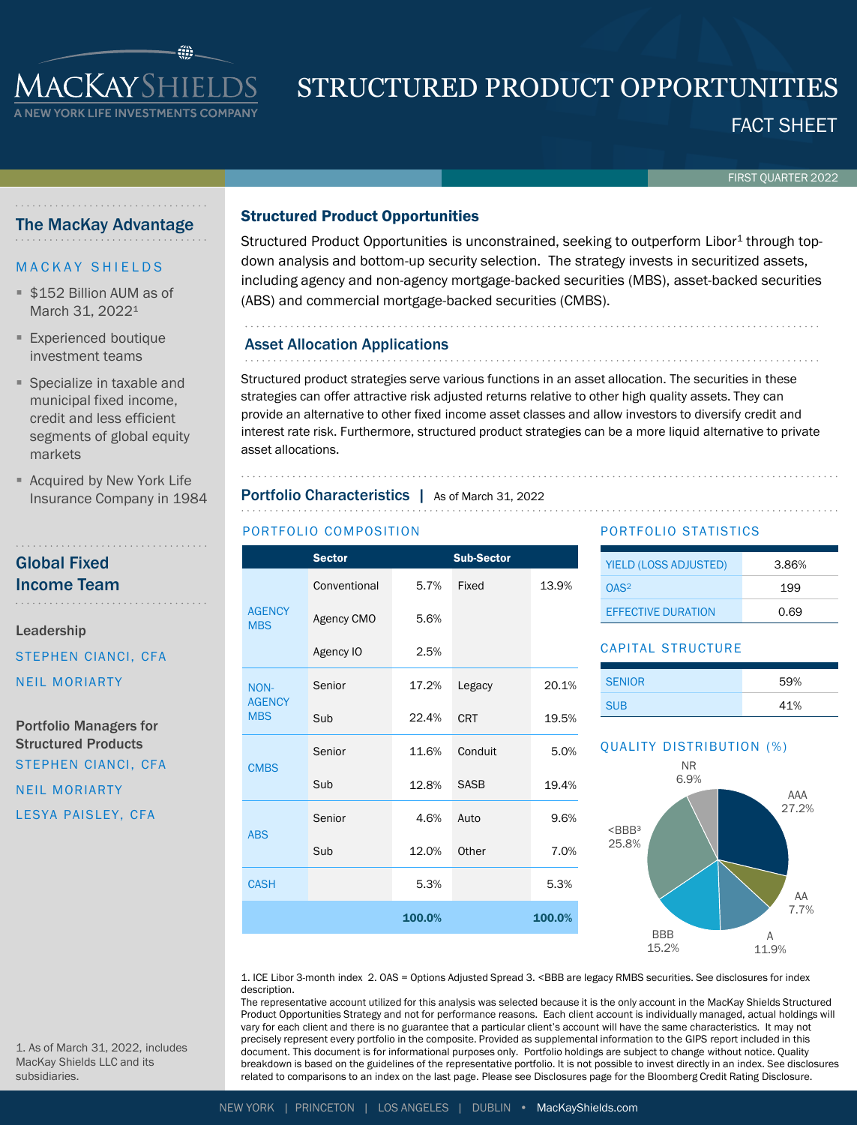

# STRUCTURED PRODUCT OPPORTUNITIES

FACT SHEET

FIRST QUARTER 2022

### The MacKay Advantage

### **MACKAY SHIELDS**

- **\$152 Billion AUM as of** March 31, 2022<sup>1</sup>
- **Experienced boutique** investment teams
- Specialize in taxable and municipal fixed income, credit and less efficient segments of global equity markets
- **E** Acquired by New York Life Insurance Company in 1984

### Global Fixed Income Team

Leadership

STEPHEN CIANCI, CFA NEIL MORIARTY

Portfolio Managers for Structured Products STEPHEN CIANCI, CFA

NEIL MORIARTY LESYA PAISLEY, CFA

### Structured Product Opportunities

Structured Product Opportunities is unconstrained, seeking to outperform Libor<sup>1</sup> through topdown analysis and bottom-up security selection. The strategy invests in securitized assets, including agency and non-agency mortgage-backed securities (MBS), asset-backed securities (ABS) and commercial mortgage-backed securities (CMBS).

### Asset Allocation Applications

Structured product strategies serve various functions in an asset allocation. The securities in these strategies can offer attractive risk adjusted returns relative to other high quality assets. They can provide an alternative to other fixed income asset classes and allow investors to diversify credit and interest rate risk. Furthermore, structured product strategies can be a more liquid alternative to private asset allocations.

### Portfolio Characteristics | As of March 31, 2022

### PORTFOLIO COMPOSITION PORTFOLIO STATISTICS

|                                     | <b>Sector</b> |        | <b>Sub-Sector</b> |        |  |  |
|-------------------------------------|---------------|--------|-------------------|--------|--|--|
|                                     | Conventional  | 5.7%   | Fixed             | 13.9%  |  |  |
| <b>AGENCY</b><br><b>MBS</b>         | Agency CMO    | 5.6%   |                   |        |  |  |
|                                     | Agency IO     | 2.5%   |                   |        |  |  |
| NON-<br><b>AGENCY</b><br><b>MBS</b> | Senior        | 17.2%  | Legacy            | 20.1%  |  |  |
|                                     | Sub           | 22.4%  | <b>CRT</b>        | 19.5%  |  |  |
| <b>CMBS</b>                         | Senior        | 11.6%  | Conduit           | 5.0%   |  |  |
|                                     | Sub           | 12.8%  | <b>SASB</b>       | 19.4%  |  |  |
| <b>ABS</b>                          | Senior        | 4.6%   | Auto              | 9.6%   |  |  |
|                                     | Sub           | 12.0%  | Other             | 7.0%   |  |  |
| <b>CASH</b>                         |               | 5.3%   |                   | 5.3%   |  |  |
|                                     |               | 100.0% |                   | 100.0% |  |  |
|                                     |               |        |                   |        |  |  |

| <b>YIELD (LOSS ADJUSTED)</b> | 3.86% |
|------------------------------|-------|
| OAS <sup>2</sup>             | 199   |
| <b>EFFECTIVE DURATION</b>    | 0.69  |

### CAPITAL STRUCTURE

| <b>SENIOR</b> | 59% |
|---------------|-----|
| <b>SUB</b>    | 41% |

### QUALITY DISTRIBUTION (%)



1. ICE Libor 3-month index 2. OAS = Options Adjusted Spread 3. <BBB are legacy RMBS securities. See disclosures for index description.

The representative account utilized for this analysis was selected because it is the only account in the MacKay Shields Structured Product Opportunities Strategy and not for performance reasons. Each client account is individually managed, actual holdings will vary for each client and there is no guarantee that a particular client's account will have the same characteristics. It may not precisely represent every portfolio in the composite. Provided as supplemental information to the GIPS report included in this document. This document is for informational purposes only. Portfolio holdings are subject to change without notice. Quality breakdown is based on the guidelines of the representative portfolio. It is not possible to invest directly in an index. See disclosures related to comparisons to an index on the last page. Please see Disclosures page for the Bloomberg Credit Rating Disclosure.

1. As of March 31, 2022, includes MacKay Shields LLC and its subsidiaries.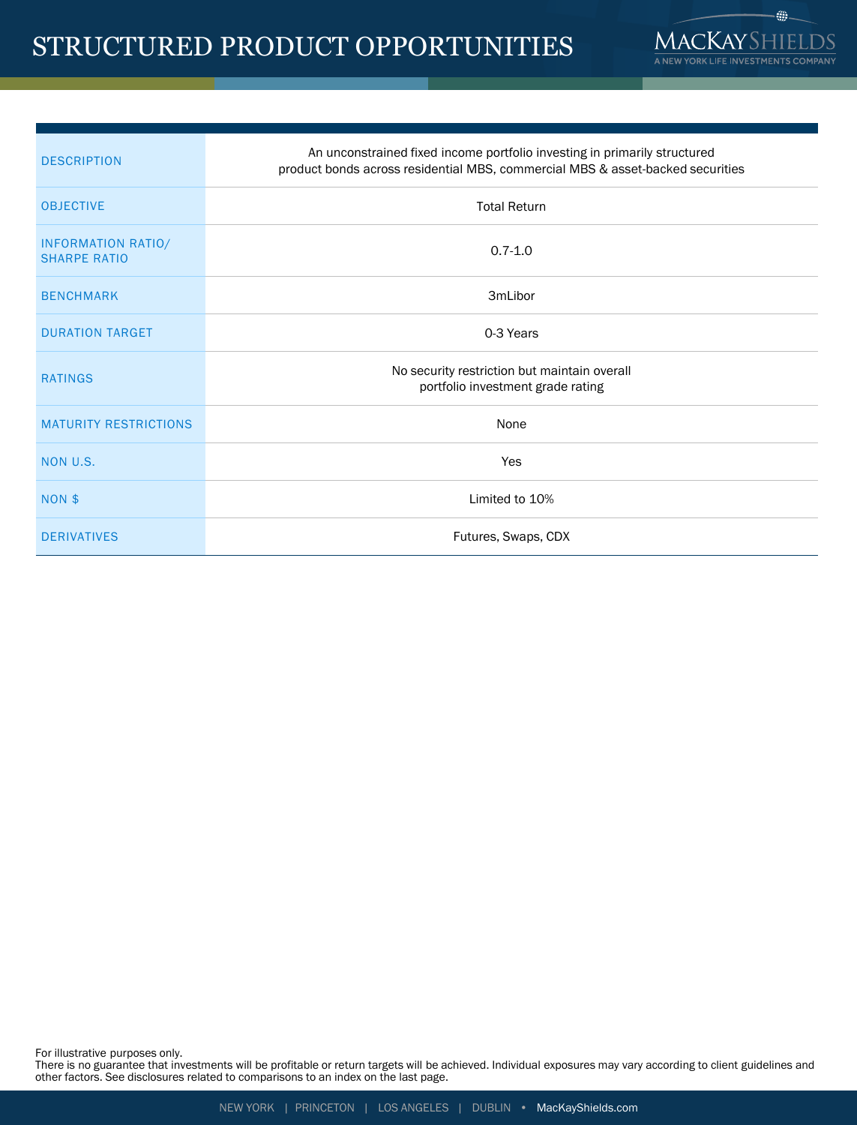

| <b>DESCRIPTION</b>                        | An unconstrained fixed income portfolio investing in primarily structured<br>product bonds across residential MBS, commercial MBS & asset-backed securities |  |  |  |
|-------------------------------------------|-------------------------------------------------------------------------------------------------------------------------------------------------------------|--|--|--|
| <b>OBJECTIVE</b>                          | <b>Total Return</b>                                                                                                                                         |  |  |  |
| INFORMATION RATIO/<br><b>SHARPE RATIO</b> | $0.7 - 1.0$                                                                                                                                                 |  |  |  |
| <b>BENCHMARK</b>                          | 3mLibor                                                                                                                                                     |  |  |  |
| <b>DURATION TARGET</b>                    | 0-3 Years                                                                                                                                                   |  |  |  |
| <b>RATINGS</b>                            | No security restriction but maintain overall<br>portfolio investment grade rating                                                                           |  |  |  |
| <b>MATURITY RESTRICTIONS</b>              | None                                                                                                                                                        |  |  |  |
| NON U.S.                                  | Yes                                                                                                                                                         |  |  |  |
| NON \$                                    | Limited to 10%                                                                                                                                              |  |  |  |
| <b>DERIVATIVES</b>                        | Futures, Swaps, CDX                                                                                                                                         |  |  |  |

For illustrative purposes only.

There is no guarantee that investments will be profitable or return targets will be achieved. Individual exposures may vary according to client guidelines and other factors. See disclosures related to comparisons to an index on the last page.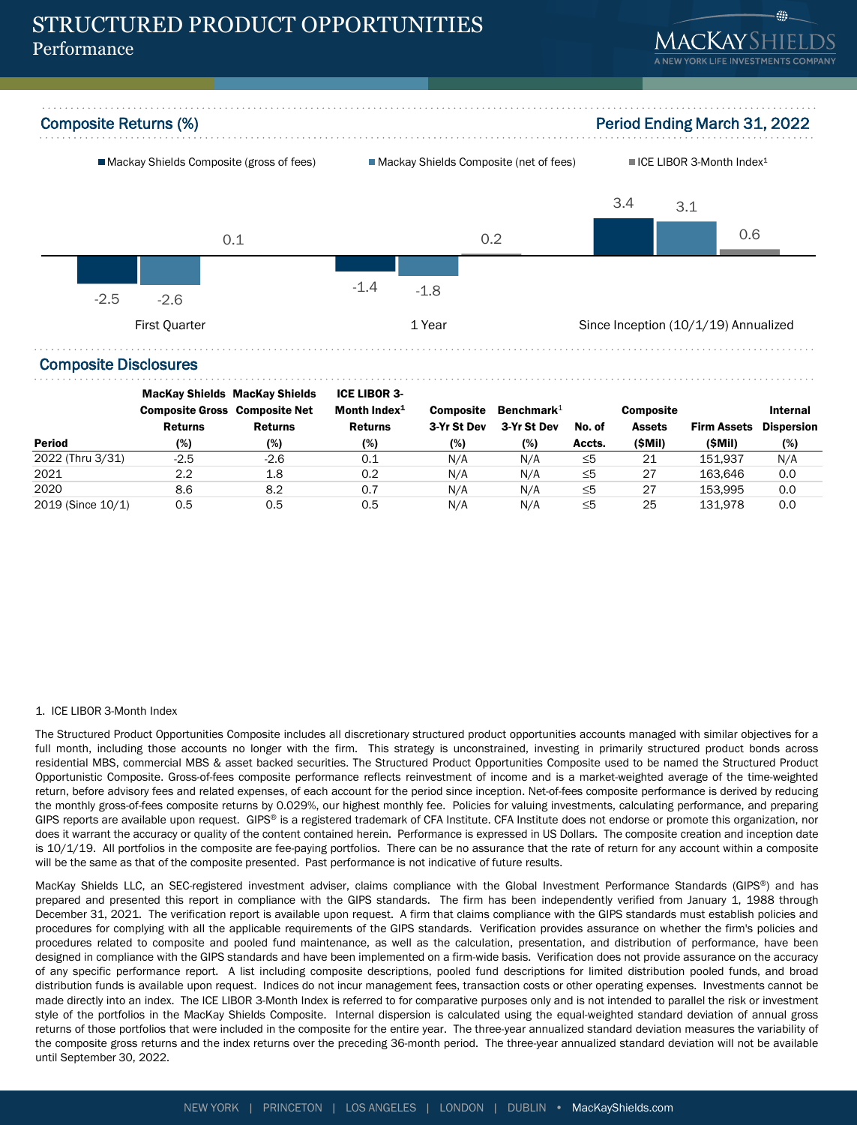### STRUCTURED PRODUCT OPPORTUNITIES Performance



## -2.5 -1.4 3.4  $-2.6$   $-1.4$   $-1.8$ 3.1  $0.1$  0.2 0.2 0.6 First Quarter 1 2001 1 Year 1 Year Since Inception (10/1/19) Annualized Mackay Shields Composite (gross of fees) Mackay Shields Composite (net of fees) ICE LIBOR 3-Month Index<sup>1</sup> Composite Returns (%) **Period Ending March 31, 2022**

### Composite Disclosures

|                   | <b>MacKay Shields MacKay Shields</b> |                | <b>ICE LIBOR 3-</b> |                  |               |          |                  |             |                   |
|-------------------|--------------------------------------|----------------|---------------------|------------------|---------------|----------|------------------|-------------|-------------------|
|                   | <b>Composite Gross Composite Net</b> |                | Month Index $1$     | <b>Composite</b> | Benchmark $1$ |          | <b>Composite</b> |             | Internal          |
|                   | <b>Returns</b>                       | <b>Returns</b> | <b>Returns</b>      | 3-Yr St Dev      | 3-Yr St Dev   | No. of   | <b>Assets</b>    | Firm Assets | <b>Dispersion</b> |
| <b>Period</b>     | (%)                                  | (%)            | (%)                 | (%)              | (%)           | Accts.   | (\$Mil)          | (SMII)      | (%)               |
| 2022 (Thru 3/31)  | $-2.5$                               | $-2.6$         | 0.1                 | N/A              | N/A           | ≤5       | 21               | 151.937     | N/A               |
| 2021              | 2.2                                  | 1.8            | 0.2                 | N/A              | N/A           | ≤5       | 27               | 163.646     | 0.0               |
| 2020              | 8.6                                  | 8.2            | 0.7                 | N/A              | N/A           | $\leq 5$ | 27               | 153.995     | 0.0               |
| 2019 (Since 10/1) | 0.5                                  | 0.5            | 0.5                 | N/A              | N/A           | ≤5       | 25               | 131.978     | 0.0               |

### 1. ICE LIBOR 3-Month Index

The Structured Product Opportunities Composite includes all discretionary structured product opportunities accounts managed with similar objectives for a full month, including those accounts no longer with the firm. This strategy is unconstrained, investing in primarily structured product bonds across residential MBS, commercial MBS & asset backed securities. The Structured Product Opportunities Composite used to be named the Structured Product Opportunistic Composite. Gross-of-fees composite performance reflects reinvestment of income and is a market-weighted average of the time-weighted return, before advisory fees and related expenses, of each account for the period since inception. Net-of-fees composite performance is derived by reducing the monthly gross-of-fees composite returns by 0.029%, our highest monthly fee. Policies for valuing investments, calculating performance, and preparing GIPS reports are available upon request. GIPS® is a registered trademark of CFA Institute. CFA Institute does not endorse or promote this organization, nor does it warrant the accuracy or quality of the content contained herein. Performance is expressed in US Dollars. The composite creation and inception date is 10/1/19. All portfolios in the composite are fee-paying portfolios. There can be no assurance that the rate of return for any account within a composite will be the same as that of the composite presented. Past performance is not indicative of future results.

MacKay Shields LLC, an SEC-registered investment adviser, claims compliance with the Global Investment Performance Standards (GIPS®) and has prepared and presented this report in compliance with the GIPS standards. The firm has been independently verified from January 1, 1988 through December 31, 2021. The verification report is available upon request. A firm that claims compliance with the GIPS standards must establish policies and procedures for complying with all the applicable requirements of the GIPS standards. Verification provides assurance on whether the firm's policies and procedures related to composite and pooled fund maintenance, as well as the calculation, presentation, and distribution of performance, have been designed in compliance with the GIPS standards and have been implemented on a firm-wide basis. Verification does not provide assurance on the accuracy of any specific performance report. A list including composite descriptions, pooled fund descriptions for limited distribution pooled funds, and broad distribution funds is available upon request. Indices do not incur management fees, transaction costs or other operating expenses. Investments cannot be made directly into an index. The ICE LIBOR 3-Month Index is referred to for comparative purposes only and is not intended to parallel the risk or investment style of the portfolios in the MacKay Shields Composite. Internal dispersion is calculated using the equal-weighted standard deviation of annual gross returns of those portfolios that were included in the composite for the entire year. The three-year annualized standard deviation measures the variability of the composite gross returns and the index returns over the preceding 36-month period. The three-year annualized standard deviation will not be available until September 30, 2022.